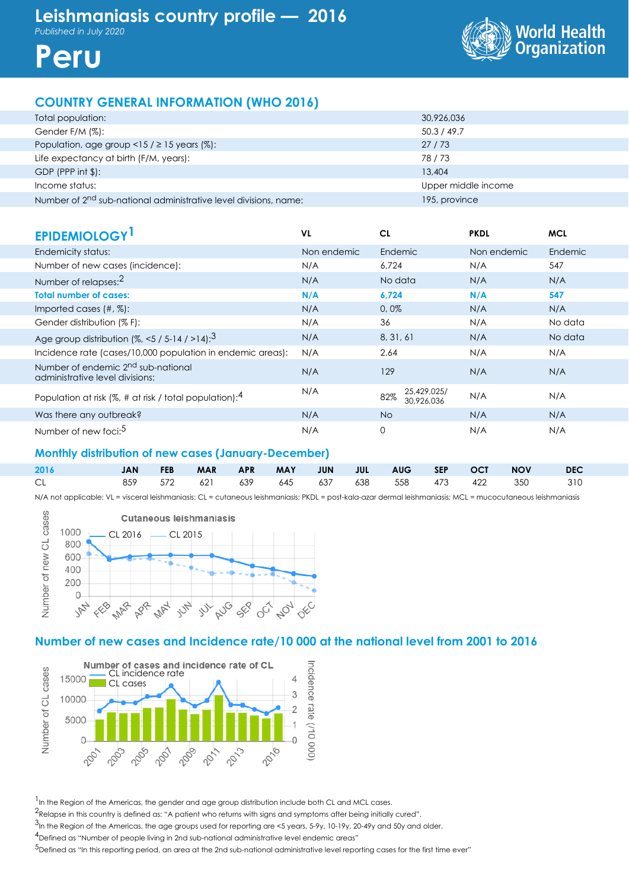World Healt<mark>h</mark><br>Organization



## **COUNTRY GENERAL INFORMATION (WHO 2016)**

| Total population:                                                            | 30,926,036          |
|------------------------------------------------------------------------------|---------------------|
| Gender F/M (%):                                                              | 50.3 / 49.7         |
| Population, age group <15 / $\geq$ 15 years (%):                             | 27/73               |
| Life expectancy at birth (F/M, years):                                       | 78/73               |
| $GDP$ (PPP int \$):                                                          | 13,404              |
| Income status:                                                               | Upper middle income |
| Number of 2 <sup>nd</sup> sub-national administrative level divisions, name: | 195, province       |

| <b>EPIDEMIOLOGY</b>                                                               | VL          | CL                               | <b>PKDL</b> | <b>MCL</b> |
|-----------------------------------------------------------------------------------|-------------|----------------------------------|-------------|------------|
| Endemicity status:                                                                | Non endemic | Endemic                          | Non endemic | Endemic    |
| Number of new cases (incidence):                                                  | N/A         | 6.724                            | N/A         | 547        |
| Number of relapses: <sup>2</sup>                                                  | N/A         | No data                          | N/A         | N/A        |
| <b>Total number of cases:</b>                                                     | N/A         | 6,724                            | N/A         | 547        |
| Imported cases $(\#, \%)$ :                                                       | N/A         | 0,0%                             | N/A         | N/A        |
| Gender distribution (% F):                                                        | N/A         | 36                               | N/A         | No data    |
| Age group distribution $(%, < 5 / 5 - 14 / > 14)$ : <sup>3</sup>                  | N/A         | 8, 31, 61                        | N/A         | No data    |
| Incidence rate (cases/10,000 population in endemic areas):                        | N/A         | 2.64                             | N/A         | N/A        |
| Number of endemic 2 <sup>nd</sup> sub-national<br>administrative level divisions: | N/A         | 129                              | N/A         | N/A        |
| Population at risk (%, # at risk / total population): $4$                         | N/A         | 25,429,025/<br>82%<br>30.926.036 | N/A         | N/A        |
| Was there any outbreak?                                                           | N/A         | <b>No</b>                        | N/A         | N/A        |
| Number of new foci: <sup>5</sup>                                                  | N/A         | 0                                | N/A         | N/A        |

### **Monthly distribution of new cases (January-December)**

| 2016 |  |  |  |  |  | JAN FEB MAR APR MAY JUN JUL AUG SEP OCT NOV DEC |  |
|------|--|--|--|--|--|-------------------------------------------------|--|
| CL - |  |  |  |  |  | 859 572 621 639 645 637 638 558 473 422 350 310 |  |

N/A not applicable; VL = visceral leishmaniasis; CL = cutaneous leishmaniasis; PKDL = post-kala-azar dermal leishmaniasis; MCL = mucocutaneous leishmaniasis



### **Number of new cases and Incidence rate/10 000 at the national level from 2001 to 2016**



<sup>1</sup> In the Region of the Americas, the gender and age group distribution include both CL and MCL cases.

2Relapse in this country is defined as: "A patient who returns with signs and symptoms after being initially cured".

.<br><sup>3</sup>In the Region of the Americas, the age groups used for reporting are <5 years, 5-9y, 10-19y, 20-49y and 50y and older.

4Defined as "Number of people living in 2nd sub-national administrative level endemic areas"

 $^5$ Defined as "In this reporting period, an area at the 2nd sub-national administrative level reporting cases for the first time ever"